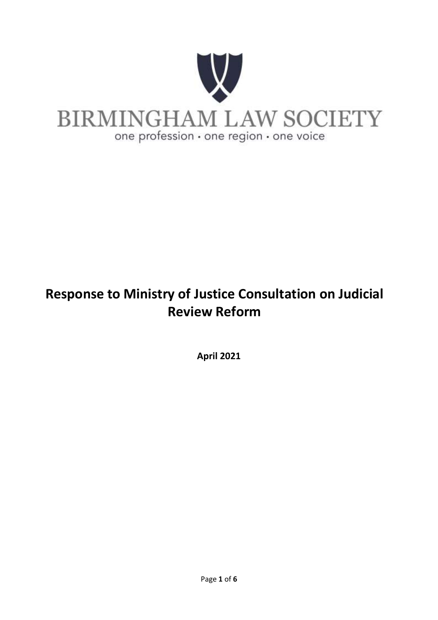

# **Response to Ministry of Justice Consultation on Judicial Review Reform**

**April 2021**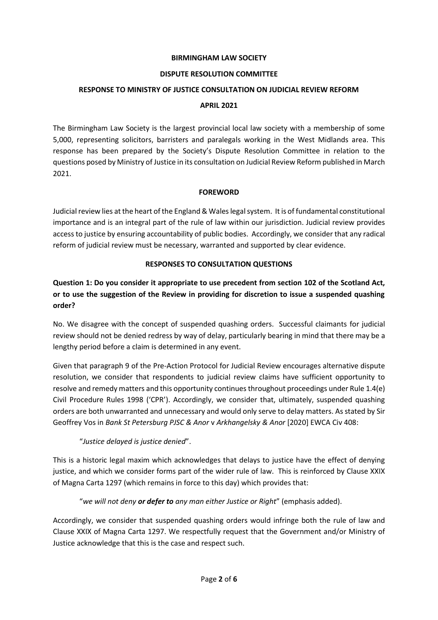#### **BIRMINGHAM LAW SOCIETY**

#### **DISPUTE RESOLUTION COMMITTEE**

#### **RESPONSE TO MINISTRY OF JUSTICE CONSULTATION ON JUDICIAL REVIEW REFORM**

#### **APRIL 2021**

The Birmingham Law Society is the largest provincial local law society with a membership of some 5,000, representing solicitors, barristers and paralegals working in the West Midlands area. This response has been prepared by the Society's Dispute Resolution Committee in relation to the questions posed by Ministry of Justice in its consultation on Judicial Review Reform published in March 2021.

#### **FOREWORD**

Judicial review lies at the heart of the England & Wales legal system. It is of fundamental constitutional importance and is an integral part of the rule of law within our jurisdiction. Judicial review provides access to justice by ensuring accountability of public bodies. Accordingly, we consider that any radical reform of judicial review must be necessary, warranted and supported by clear evidence.

#### **RESPONSES TO CONSULTATION QUESTIONS**

**Question 1: Do you consider it appropriate to use precedent from section 102 of the Scotland Act, or to use the suggestion of the Review in providing for discretion to issue a suspended quashing order?** 

No. We disagree with the concept of suspended quashing orders. Successful claimants for judicial review should not be denied redress by way of delay, particularly bearing in mind that there may be a lengthy period before a claim is determined in any event.

Given that paragraph 9 of the Pre-Action Protocol for Judicial Review encourages alternative dispute resolution, we consider that respondents to judicial review claims have sufficient opportunity to resolve and remedy matters and this opportunity continues throughout proceedings under Rule 1.4(e) Civil Procedure Rules 1998 ('CPR'). Accordingly, we consider that, ultimately, suspended quashing orders are both unwarranted and unnecessary and would only serve to delay matters. As stated by Sir Geoffrey Vos in *Bank St Petersburg PJSC & Anor* v *Arkhangelsky & Anor* [2020] EWCA Civ 408:

#### "*Justice delayed is justice denied*".

This is a historic legal maxim which acknowledges that delays to justice have the effect of denying justice, and which we consider forms part of the wider rule of law. This is reinforced by Clause XXIX of Magna Carta 1297 (which remains in force to this day) which provides that:

"*we will not deny or defer to any man either Justice or Right*" (emphasis added).

Accordingly, we consider that suspended quashing orders would infringe both the rule of law and Clause XXIX of Magna Carta 1297. We respectfully request that the Government and/or Ministry of Justice acknowledge that this is the case and respect such.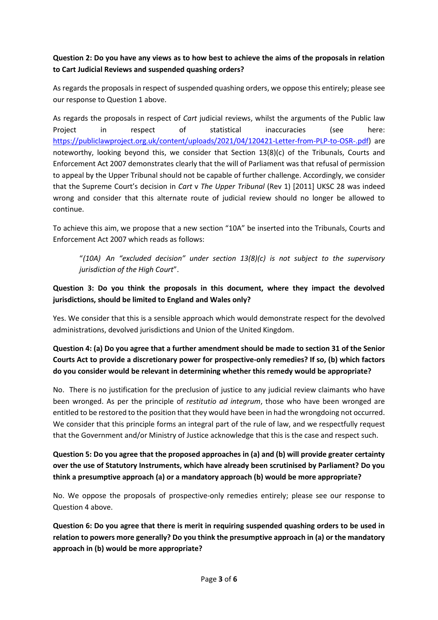## **Question 2: Do you have any views as to how best to achieve the aims of the proposals in relation to Cart Judicial Reviews and suspended quashing orders?**

As regards the proposals in respect of suspended quashing orders, we oppose this entirely; please see our response to Question 1 above.

As regards the proposals in respect of *Cart* judicial reviews, whilst the arguments of the Public law Project in respect of statistical inaccuracies (see here: [https://publiclawproject.org.uk/content/uploads/2021/04/120421-Letter-from-PLP-to-OSR-.pdf\)](https://publiclawproject.org.uk/content/uploads/2021/04/120421-Letter-from-PLP-to-OSR-.pdf) are noteworthy, looking beyond this, we consider that Section 13(8)(c) of the Tribunals, Courts and Enforcement Act 2007 demonstrates clearly that the will of Parliament was that refusal of permission to appeal by the Upper Tribunal should not be capable of further challenge. Accordingly, we consider that the Supreme Court's decision in *Cart* v *The Upper Tribunal* (Rev 1) [2011] UKSC 28 was indeed wrong and consider that this alternate route of judicial review should no longer be allowed to continue.

To achieve this aim, we propose that a new section "10A" be inserted into the Tribunals, Courts and Enforcement Act 2007 which reads as follows:

"*(10A) An "excluded decision" under section 13(8)(c) is not subject to the supervisory jurisdiction of the High Court*".

#### **Question 3: Do you think the proposals in this document, where they impact the devolved jurisdictions, should be limited to England and Wales only?**

Yes. We consider that this is a sensible approach which would demonstrate respect for the devolved administrations, devolved jurisdictions and Union of the United Kingdom.

## **Question 4: (a) Do you agree that a further amendment should be made to section 31 of the Senior Courts Act to provide a discretionary power for prospective-only remedies? If so, (b) which factors do you consider would be relevant in determining whether this remedy would be appropriate?**

No. There is no justification for the preclusion of justice to any judicial review claimants who have been wronged. As per the principle of *restitutio ad integrum*, those who have been wronged are entitled to be restored to the position that they would have been in had the wrongdoing not occurred. We consider that this principle forms an integral part of the rule of law, and we respectfully request that the Government and/or Ministry of Justice acknowledge that this is the case and respect such.

# **Question 5: Do you agree that the proposed approaches in (a) and (b) will provide greater certainty over the use of Statutory Instruments, which have already been scrutinised by Parliament? Do you think a presumptive approach (a) or a mandatory approach (b) would be more appropriate?**

No. We oppose the proposals of prospective-only remedies entirely; please see our response to Question 4 above.

**Question 6: Do you agree that there is merit in requiring suspended quashing orders to be used in relation to powers more generally? Do you think the presumptive approach in (a) or the mandatory approach in (b) would be more appropriate?**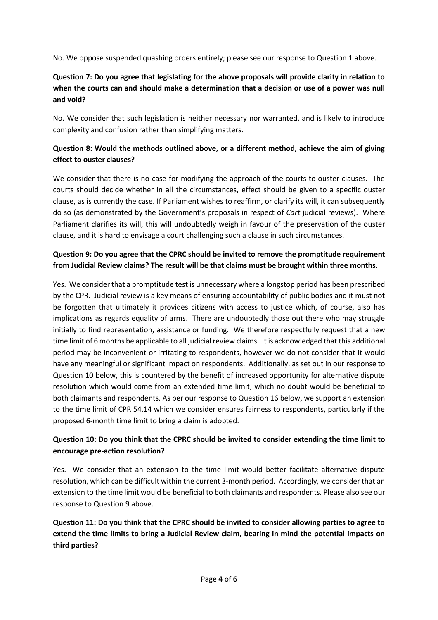No. We oppose suspended quashing orders entirely; please see our response to Question 1 above.

# **Question 7: Do you agree that legislating for the above proposals will provide clarity in relation to when the courts can and should make a determination that a decision or use of a power was null and void?**

No. We consider that such legislation is neither necessary nor warranted, and is likely to introduce complexity and confusion rather than simplifying matters.

#### **Question 8: Would the methods outlined above, or a different method, achieve the aim of giving effect to ouster clauses?**

We consider that there is no case for modifying the approach of the courts to ouster clauses. The courts should decide whether in all the circumstances, effect should be given to a specific ouster clause, as is currently the case. If Parliament wishes to reaffirm, or clarify its will, it can subsequently do so (as demonstrated by the Government's proposals in respect of *Cart* judicial reviews). Where Parliament clarifies its will, this will undoubtedly weigh in favour of the preservation of the ouster clause, and it is hard to envisage a court challenging such a clause in such circumstances.

## **Question 9: Do you agree that the CPRC should be invited to remove the promptitude requirement from Judicial Review claims? The result will be that claims must be brought within three months.**

Yes. We consider that a promptitude test is unnecessary where a longstop period has been prescribed by the CPR. Judicial review is a key means of ensuring accountability of public bodies and it must not be forgotten that ultimately it provides citizens with access to justice which, of course, also has implications as regards equality of arms. There are undoubtedly those out there who may struggle initially to find representation, assistance or funding. We therefore respectfully request that a new time limit of 6 months be applicable to all judicial review claims. It is acknowledged that this additional period may be inconvenient or irritating to respondents, however we do not consider that it would have any meaningful or significant impact on respondents. Additionally, as set out in our response to Question 10 below, this is countered by the benefit of increased opportunity for alternative dispute resolution which would come from an extended time limit, which no doubt would be beneficial to both claimants and respondents. As per our response to Question 16 below, we support an extension to the time limit of CPR 54.14 which we consider ensures fairness to respondents, particularly if the proposed 6-month time limit to bring a claim is adopted.

## **Question 10: Do you think that the CPRC should be invited to consider extending the time limit to encourage pre-action resolution?**

Yes. We consider that an extension to the time limit would better facilitate alternative dispute resolution, which can be difficult within the current 3-month period. Accordingly, we consider that an extension to the time limit would be beneficial to both claimants and respondents. Please also see our response to Question 9 above.

**Question 11: Do you think that the CPRC should be invited to consider allowing parties to agree to extend the time limits to bring a Judicial Review claim, bearing in mind the potential impacts on third parties?**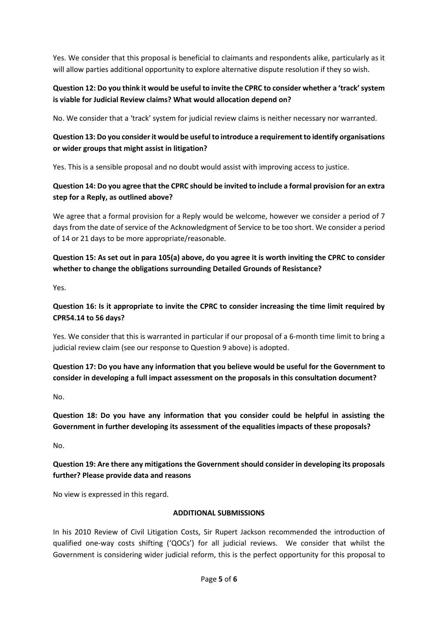Yes. We consider that this proposal is beneficial to claimants and respondents alike, particularly as it will allow parties additional opportunity to explore alternative dispute resolution if they so wish.

#### **Question 12: Do you think it would be useful to invite the CPRC to consider whether a 'track' system is viable for Judicial Review claims? What would allocation depend on?**

No. We consider that a 'track' system for judicial review claims is neither necessary nor warranted.

## **Question 13: Do you consider it would be useful to introduce a requirement to identify organisations or wider groups that might assist in litigation?**

Yes. This is a sensible proposal and no doubt would assist with improving access to justice.

# **Question 14: Do you agree that the CPRC should be invited to include a formal provision for an extra step for a Reply, as outlined above?**

We agree that a formal provision for a Reply would be welcome, however we consider a period of 7 days from the date of service of the Acknowledgment of Service to be too short. We consider a period of 14 or 21 days to be more appropriate/reasonable.

# **Question 15: As set out in para 105(a) above, do you agree it is worth inviting the CPRC to consider whether to change the obligations surrounding Detailed Grounds of Resistance?**

Yes.

## **Question 16: Is it appropriate to invite the CPRC to consider increasing the time limit required by CPR54.14 to 56 days?**

Yes. We consider that this is warranted in particular if our proposal of a 6-month time limit to bring a judicial review claim (see our response to Question 9 above) is adopted.

## **Question 17: Do you have any information that you believe would be useful for the Government to consider in developing a full impact assessment on the proposals in this consultation document?**

No.

**Question 18: Do you have any information that you consider could be helpful in assisting the Government in further developing its assessment of the equalities impacts of these proposals?** 

No.

#### **Question 19: Are there any mitigations the Government should consider in developing its proposals further? Please provide data and reasons**

No view is expressed in this regard.

#### **ADDITIONAL SUBMISSIONS**

In his 2010 Review of Civil Litigation Costs, Sir Rupert Jackson recommended the introduction of qualified one-way costs shifting ('QOCs') for all judicial reviews. We consider that whilst the Government is considering wider judicial reform, this is the perfect opportunity for this proposal to